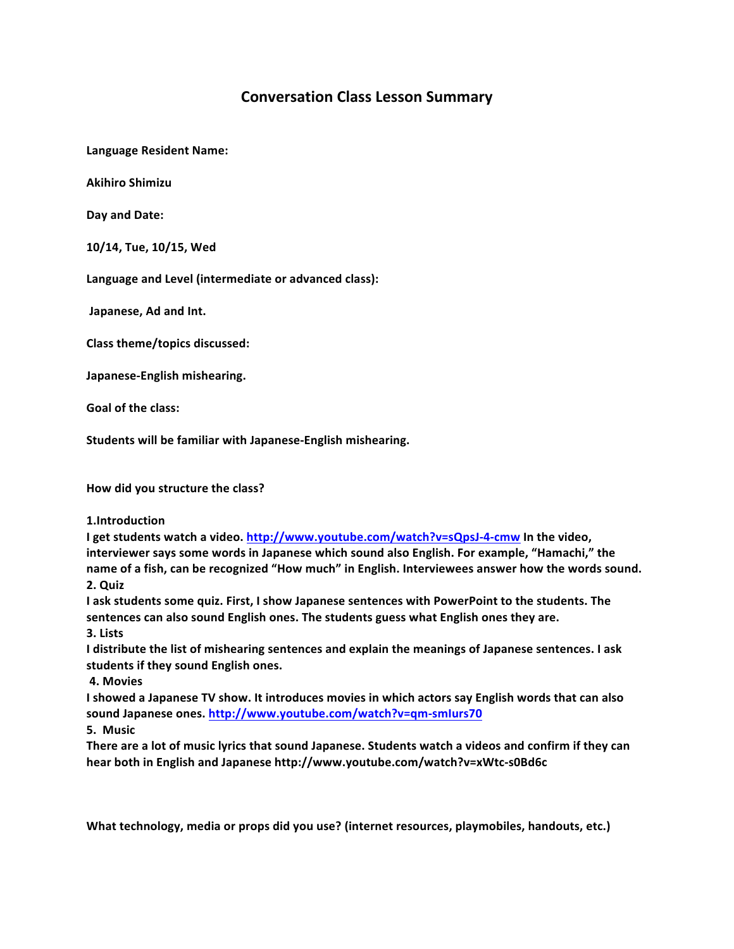## **Conversation Class Lesson Summary**

**Language Resident Name:**

**Akihiro Shimizu**

**Day and Date:**

**10/14, Tue, 10/15, Wed**

Language and Level (intermediate or advanced class):

Japanese, Ad and Int.

**Class theme/topics discussed:**

**Japanese-English mishearing.**

**Goal of the class:**

Students will be familiar with Japanese-English mishearing.

How did you structure the class?

**1.Introduction**

**I** get students watch a video. http://www.youtube.com/watch?v=sQpsJ-4-cmw In the video, interviewer says some words in Japanese which sound also English. For example, "Hamachi," the name of a fish, can be recognized "How much" in English. Interviewees answer how the words sound. **2. Quiz**

**I** ask students some quiz. First, I show Japanese sentences with PowerPoint to the students. The sentences can also sound English ones. The students guess what English ones they are. **3. Lists**

**I** distribute the list of mishearing sentences and explain the meanings of Japanese sentences. I ask students if they sound English ones.

**4. Movies**

I showed a Japanese TV show. It introduces movies in which actors say English words that can also sound Japanese ones. http://www.youtube.com/watch?v=qm-smlurs70

**5. Music**

**There are a lot of music lyrics that sound Japanese. Students watch a videos and confirm if they can** hear both in English and Japanese http://www.youtube.com/watch?v=xWtc-s0Bd6c

What technology, media or props did you use? (internet resources, playmobiles, handouts, etc.)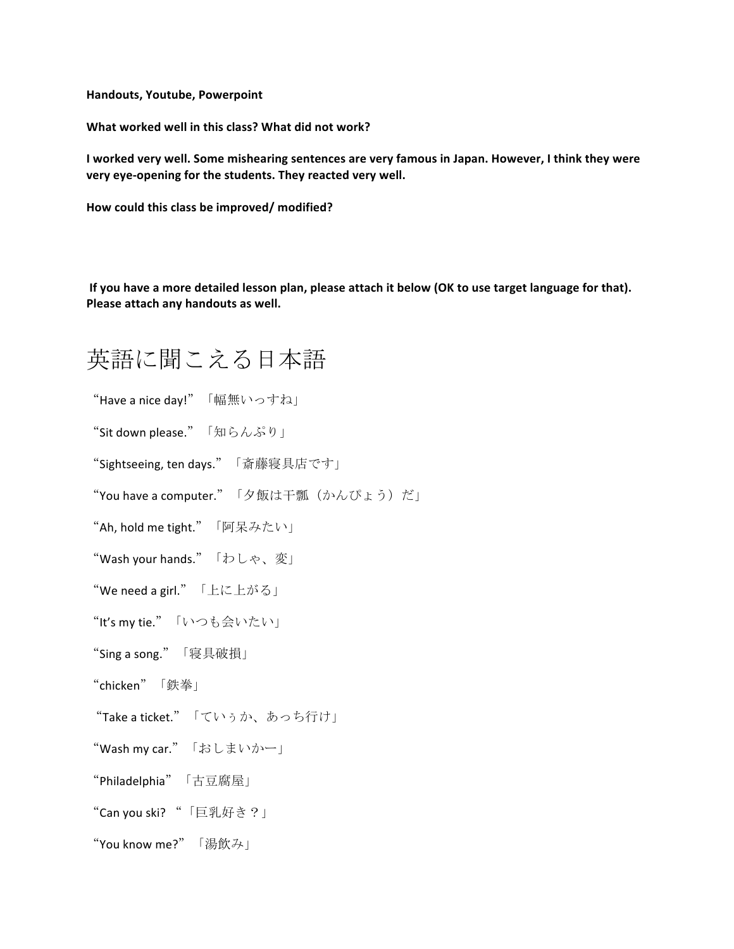**Handouts, Youtube, Powerpoint**

**What worked well in this class? What did not work?** 

I worked very well. Some mishearing sentences are very famous in Japan. However, I think they were very eye-opening for the students. They reacted very well.

How could this class be improved/ modified?

If you have a more detailed lesson plan, please attach it below (OK to use target language for that). Please attach any handouts as well.

## 英語に聞こえる日本語

"Have a nice day!"「幅無いっすね」

**"Sit down please."**「知らんぷり」

"Sightseeing, ten days."「斎藤寝具店です」

"You have a computer."「夕飯は干瓢(かんぴょう)だ」

"Ah, hold me tight."「阿呆みたい」

"Wash your hands."「わしゃ、変」

"We need a girl." 「上に上がる」

"It's my tie."「いつも会いたい」

"Sing a song."「寝具破損」

"chicken"「鉄拳」

"Take a ticket."「ていぅか、あっち行け」

"Wash my car."「おしまいかー」

"Philadelphia"「古豆腐屋」

"Can you ski? "「巨乳好き?」

"You know me?"「湯飲み」